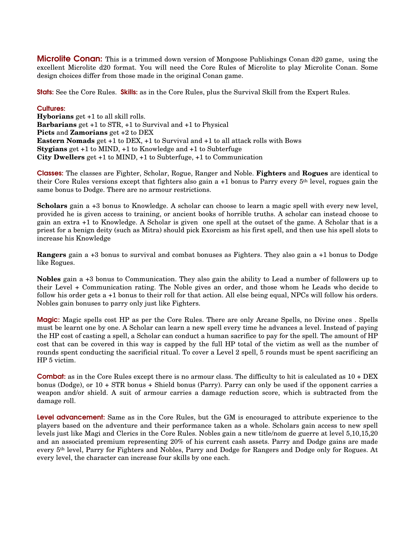**Microlite Conan:** This is a trimmed down version of Mongoose Publishings Conan d20 game, using the excellent Microlite d20 format. You will need the Core Rules of Microlite to play Microlite Conan. Some design choices differ from those made in the original Conan game.

Stats: See the Core Rules. Skills: as in the Core Rules, plus the Survival Skill from the Expert Rules.

#### Cultures:

**Hyborians** get +1 to all skill rolls. **Barbarians** get +1 to STR, +1 to Survival and +1 to Physical **Picts** and **Zamorians** get +2 to DEX **Eastern Nomads** get +1 to DEX, +1 to Survival and +1 to all attack rolls with Bows **Stygians** get +1 to MIND, +1 to Knowledge and +1 to Subterfuge **City Dwellers** get +1 to MIND, +1 to Subterfuge, +1 to Communication

Classes: The classes are Fighter, Scholar, Rogue, Ranger and Noble. **Fighters** and **Rogues** are identical to their Core Rules versions except that fighters also gain a +1 bonus to Parry every 5th level, rogues gain the same bonus to Dodge. There are no armour restrictions.

**Scholars** gain a +3 bonus to Knowledge. A scholar can choose to learn a magic spell with every new level, provided he is given access to training, or ancient books of horrible truths. A scholar can instead choose to gain an extra +1 to Knowledge. A Scholar is given one spell at the outset of the game. A Scholar that is a priest for a benign deity (such as Mitra) should pick Exorcism as his first spell, and then use his spell slots to increase his Knowledge

**Rangers** gain a +3 bonus to survival and combat bonuses as Fighters. They also gain a +1 bonus to Dodge like Rogues.

**Nobles** gain a +3 bonus to Communication. They also gain the ability to Lead a number of followers up to their Level + Communication rating. The Noble gives an order, and those whom he Leads who decide to follow his order gets a +1 bonus to their roll for that action. All else being equal, NPCs will follow his orders. Nobles gain bonuses to parry only just like Fighters.

Magic: Magic spells cost HP as per the Core Rules. There are only Arcane Spells, no Divine ones . Spells must be learnt one by one. A Scholar can learn a new spell every time he advances a level. Instead of paying the HP cost of casting a spell, a Scholar can conduct a human sacrifice to pay for the spell. The amount of HP cost that can be covered in this way is capped by the full HP total of the victim as well as the number of rounds spent conducting the sacrificial ritual. To cover a Level 2 spell, 5 rounds must be spent sacrificing an HP 5 victim.

Combat: as in the Core Rules except there is no armour class. The difficulty to hit is calculated as  $10 + DEX$ bonus (Dodge), or 10 + STR bonus + Shield bonus (Parry). Parry can only be used if the opponent carries a weapon and/or shield. A suit of armour carries a damage reduction score, which is subtracted from the damage roll.

Level advancement: Same as in the Core Rules, but the GM is encouraged to attribute experience to the players based on the adventure and their performance taken as a whole. Scholars gain access to new spell levels just like Magi and Clerics in the Core Rules. Nobles gain a new title/nom de guerre at level 5,10,15,20 and an associated premium representing 20% of his current cash assets. Parry and Dodge gains are made every 5th level, Parry for Fighters and Nobles, Parry and Dodge for Rangers and Dodge only for Rogues. At every level, the character can increase four skills by one each.